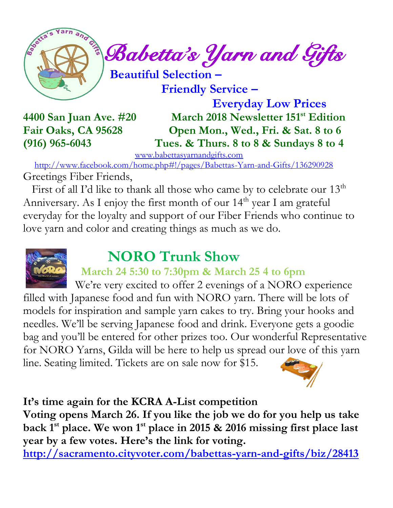

 **Friendly Service –**

 **Everyday Low Prices 4400 San Juan Ave. #20 March 2018 Newsletter 151 st Edition Fair Oaks, CA 95628 Open Mon., Wed., Fri. & Sat. 8 to 6 (916) 965-6043 Tues. & Thurs. 8 to 8 & Sundays 8 to 4** 

[www.babettasyarnandgifts.com](http://www.babettasyarnandgifts.com/)

 <http://www.facebook.com/home.php#!/pages/Babettas-Yarn-and-Gifts/136290928> Greetings Fiber Friends,

First of all I'd like to thank all those who came by to celebrate our  $13<sup>th</sup>$ Anniversary. As I enjoy the first month of our  $14<sup>th</sup>$  year I am grateful everyday for the loyalty and support of our Fiber Friends who continue to love yarn and color and creating things as much as we do.



# **NORO Trunk Show**

## **March 24 5:30 to 7:30pm & March 25 4 to 6pm**

We're very excited to offer 2 evenings of a NORO experience filled with Japanese food and fun with NORO yarn. There will be lots of models for inspiration and sample yarn cakes to try. Bring your hooks and needles. We'll be serving Japanese food and drink. Everyone gets a goodie bag and you'll be entered for other prizes too. Our wonderful Representative for NORO Yarns, Gilda will be here to help us spread our love of this yarn line. Seating limited. Tickets are on sale now for \$15.



## **It's time again for the KCRA A-List competition**

**Voting opens March 26. If you like the job we do for you help us take back 1st place. We won 1st place in 2015 & 2016 missing first place last year by a few votes. Here's the link for voting.** 

**<http://sacramento.cityvoter.com/babettas-yarn-and-gifts/biz/28413>**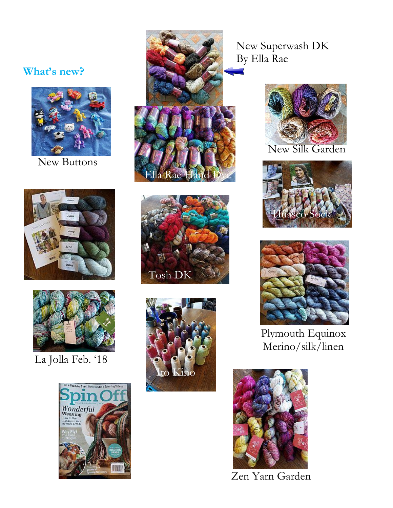### **What's new?**



New Buttons





La Jolla Feb. '18









New Superwash DK By Ella Rae



New Silk Garden





Plymouth Equinox Merino/silk/linen



Zen Yarn Garden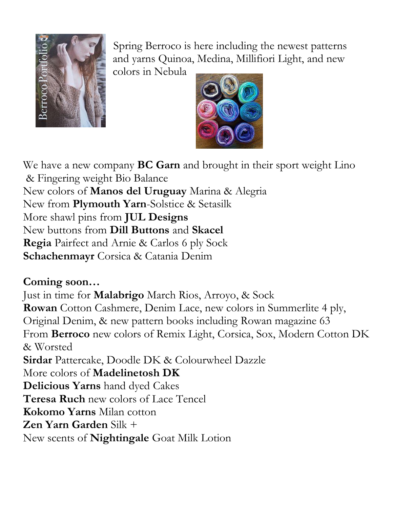

Spring Berroco is here including the newest patterns and yarns Quinoa, Medina, Millifiori Light, and new

colors in Nebula



We have a new company **BC Garn** and brought in their sport weight Lino & Fingering weight Bio Balance New colors of **Manos del Uruguay** Marina & Alegria New from **Plymouth Yarn**-Solstice & Setasilk More shawl pins from **JUL Designs** New buttons from **Dill Buttons** and **Skacel Regia** Pairfect and Arnie & Carlos 6 ply Sock **Schachenmayr** Corsica & Catania Denim

## **Coming soon…**

Just in time for **Malabrigo** March Rios, Arroyo, & Sock **Rowan** Cotton Cashmere, Denim Lace, new colors in Summerlite 4 ply, Original Denim, & new pattern books including Rowan magazine 63 From **Berroco** new colors of Remix Light, Corsica, Sox, Modern Cotton DK & Worsted **Sirdar** Pattercake, Doodle DK & Colourwheel Dazzle More colors of **Madelinetosh DK Delicious Yarns** hand dyed Cakes **Teresa Ruch** new colors of Lace Tencel **Kokomo Yarns** Milan cotton **Zen Yarn Garden** Silk + New scents of **Nightingale** Goat Milk Lotion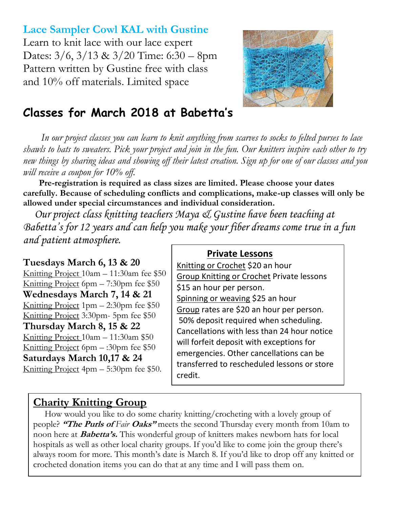**Lace Sampler Cowl KAL with Gustine** Learn to knit lace with our lace expert Dates: 3/6, 3/13 & 3/20 Time: 6:30 – 8pm Pattern written by Gustine free with class and 10% off materials. Limited space



## **Classes for March 2018 at Babetta's**

 *In our project classes you can learn to knit anything from scarves to socks to felted purses to lace shawls to hats to sweaters. Pick your project and join in the fun. Our knitters inspire each other to try new things by sharing ideas and showing off their latest creation. Sign up for one of our classes and you will receive a coupon for 10% off.*

 **Pre-registration is required as class sizes are limited. Please choose your dates carefully. Because of scheduling conflicts and complications, make-up classes will only be allowed under special circumstances and individual consideration.**

*Our project class knitting teachers Maya & Gustine have been teaching at Babetta's for 12 years and can help you make your fiber dreams come true in a fun and patient atmosphere.*

**Tuesdays March 6, 13 & 20** Knitting Project 10am – 11:30am fee \$50 Knitting Project 6pm – 7:30pm fee \$50 **Wednesdays March 7, 14 & 21** Knitting Project  $1pm - 2:30pm$  fee \$50 Knitting Project 3:30pm- 5pm fee \$50 **Thursday March 8, 15 & 22** Knitting Project 10am – 11:30am \$50 Knitting Project 6pm  $-$ :30pm fee \$50 **Saturdays March 10,17 & 24** Knitting Project 4pm – 5:30pm fee \$50.

#### **Private Lessons**

Knitting or Crochet \$20 an hour Group Knitting or Crochet Private lessons \$15 an hour per person. Spinning or weaving \$25 an hour Group rates are \$20 an hour per person. 50% deposit required when scheduling. Cancellations with less than 24 hour notice will forfeit deposit with exceptions for emergencies. Other cancellations can be transferred to rescheduled lessons or store credit.

## **Charity Knitting Group**

 How would you like to do some charity knitting/crocheting with a lovely group of people? **"The Purls of** *Fair* **Oaks"** meets the second Thursday every month from 10am to noon here at **Babetta's.** This wonderful group of knitters makes newborn hats for local hospitals as well as other local charity groups. If you'd like to come join the group there's always room for more. This month's date is March 8. If you'd like to drop off any knitted or crocheted donation items you can do that at any time and I will pass them on.